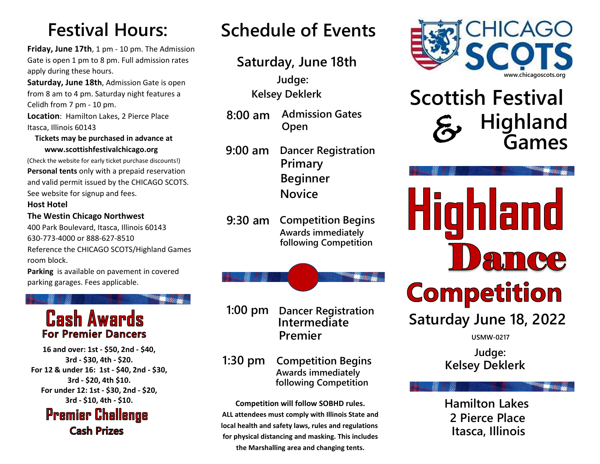# **Festival Hours:**

**Friday, June 17th**, 1 pm - 10 pm. The Admission Gate is open 1 pm to 8 pm. Full admission rates apply during these hours.

**Saturday, June 18th**, Admission Gate is open from 8 am to 4 pm. Saturday night features a Celidh from 7 pm - 10 pm.

**Location**: Hamilton Lakes, 2 Pierce Place Itasca, Illinois 60143

 **Tickets may be purchased in advance at www.scottishfestivalchicago.org**

(Check the website for early ticket purchase discounts!) **Personal tents** only with a prepaid reservation and valid permit issued by the CHICAGO SCOTS. See website for signup and fees.

#### **Host Hotel**

**The Westin Chicago Northwest**

400 Park Boulevard, Itasca, Illinois 60143 630-773-4000 or 888-627-8510 Reference the CHICAGO SCOTS/Highland Games room block.

**Parking** is available on pavement in covered parking garages. Fees applicable.

# **Cash Awards For Premier Dancers**

**16 and over: 1st - \$50, 2nd - \$40, 3rd - \$30, 4th - \$20. For 12 & under 16: 1st - \$40, 2nd - \$30, 3rd - \$20, 4th \$10. For under 12: 1st - \$30, 2nd - \$20, 3rd - \$10, 4th - \$10.**

## **Premier Challenge Cash Prizes**

# **Schedule of Events**

# **Saturday, June 18th**

**Judge: Kelsey Deklerk**

- **8:00 am Admission Gates Open**
- **9:00 am Dancer Registration Primary Beginner Novice**
- **Competition Begins Awards immediately 9:30 am following Competition**

**Dancer Registration 1:00 pm Intermediate Premier**

**1:30 pm Competition Begins Awards immediately following Competition**

**ALL attendees must comply with Illinois State and Competition will follow SOBHD rules. for physical distancing and masking. This includes local health and safety laws, rules and regulations the Marshalling area and changing tents.**





Highland Jance **Competition** 

**Saturday June 18, 2022**

**USMW-0217**

**Judge: Kelsey Deklerk**

**2 Pierce Place Hamilton Lakes Itasca, Illinois**